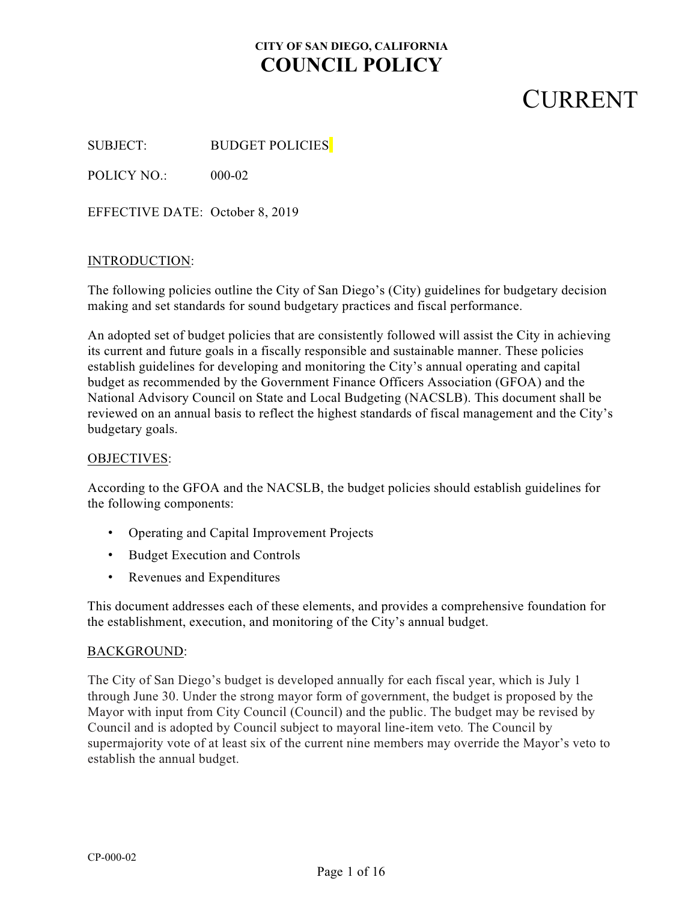## **CURRENT**

SUBJECT: BUDGET POLICIES

POLICY NO.: 000-02

EFFECTIVE DATE: October 8, 2019

#### INTRODUCTION:

The following policies outline the City of San Diego's (City) guidelines for budgetary decision making and set standards for sound budgetary practices and fiscal performance.

An adopted set of budget policies that are consistently followed will assist the City in achieving its current and future goals in a fiscally responsible and sustainable manner. These policies establish guidelines for developing and monitoring the City's annual operating and capital budget as recommended by the Government Finance Officers Association (GFOA) and the National Advisory Council on State and Local Budgeting (NACSLB). This document shall be reviewed on an annual basis to reflect the highest standards of fiscal management and the City's budgetary goals.

#### OBJECTIVES:

According to the GFOA and the NACSLB, the budget policies should establish guidelines for the following components:

- Operating and Capital Improvement Projects
- Budget Execution and Controls
- Revenues and Expenditures

This document addresses each of these elements, and provides a comprehensive foundation for the establishment, execution, and monitoring of the City's annual budget.

#### BACKGROUND:

The City of San Diego's budget is developed annually for each fiscal year, which is July 1 through June 30. Under the strong mayor form of government, the budget is proposed by the Mayor with input from City Council (Council) and the public. The budget may be revised by Council and is adopted by Council subject to mayoral line-item veto*.* The Council by supermajority vote of at least six of the current nine members may override the Mayor's veto to establish the annual budget.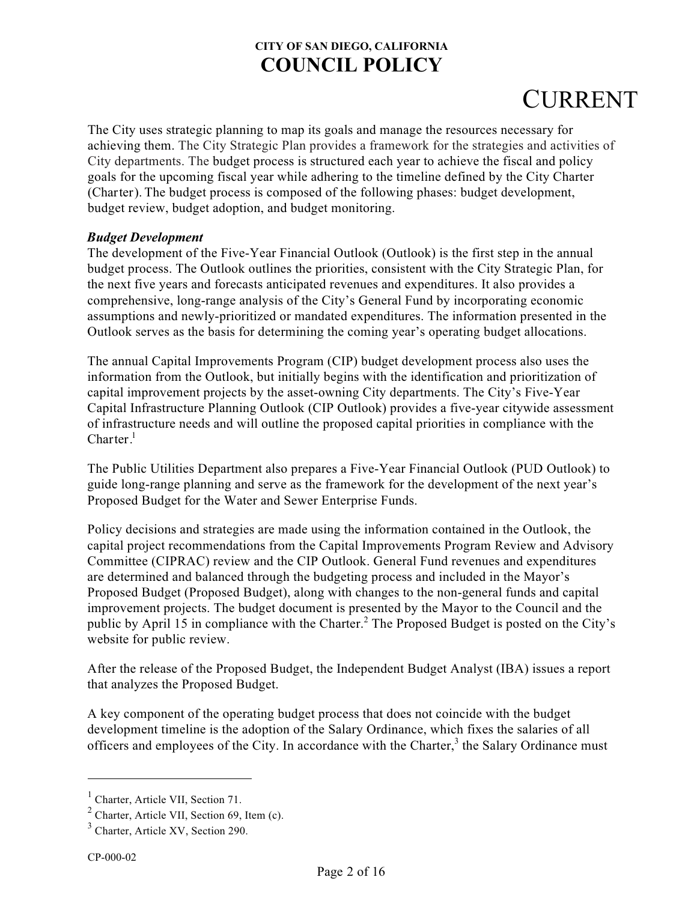# CURRENT

The City uses strategic planning to map its goals and manage the resources necessary for achieving them. The City Strategic Plan provides a framework for the strategies and activities of City departments. The budget process is structured each year to achieve the fiscal and policy goals for the upcoming fiscal year while adhering to the timeline defined by the City Charter (Charter). The budget process is composed of the following phases: budget development, budget review, budget adoption, and budget monitoring.

## *Budget Development*

The development of the Five-Year Financial Outlook (Outlook) is the first step in the annual budget process. The Outlook outlines the priorities, consistent with the City Strategic Plan, for the next five years and forecasts anticipated revenues and expenditures. It also provides a comprehensive, long-range analysis of the City's General Fund by incorporating economic assumptions and newly-prioritized or mandated expenditures. The information presented in the Outlook serves as the basis for determining the coming year's operating budget allocations.

The annual Capital Improvements Program (CIP) budget development process also uses the information from the Outlook, but initially begins with the identification and prioritization of capital improvement projects by the asset-owning City departments. The City's Five-Year Capital Infrastructure Planning Outlook (CIP Outlook) provides a five-year citywide assessment of infrastructure needs and will outline the proposed capital priorities in compliance with the Charter.<sup>1</sup>

The Public Utilities Department also prepares a Five-Year Financial Outlook (PUD Outlook) to guide long-range planning and serve as the framework for the development of the next year's Proposed Budget for the Water and Sewer Enterprise Funds.

Policy decisions and strategies are made using the information contained in the Outlook, the capital project recommendations from the Capital Improvements Program Review and Advisory Committee (CIPRAC) review and the CIP Outlook. General Fund revenues and expenditures are determined and balanced through the budgeting process and included in the Mayor's Proposed Budget (Proposed Budget), along with changes to the non-general funds and capital improvement projects. The budget document is presented by the Mayor to the Council and the public by April 15 in compliance with the Charter.<sup>2</sup> The Proposed Budget is posted on the City's website for public review.

After the release of the Proposed Budget, the Independent Budget Analyst (IBA) issues a report that analyzes the Proposed Budget.

A key component of the operating budget process that does not coincide with the budget development timeline is the adoption of the Salary Ordinance, which fixes the salaries of all officers and employees of the City. In accordance with the Charter, $3$  the Salary Ordinance must

<sup>&</sup>lt;sup>1</sup> Charter, Article VII, Section 71.

 $2^2$  Charter, Article VII, Section 69, Item (c).

<sup>&</sup>lt;sup>3</sup> Charter, Article XV, Section 290.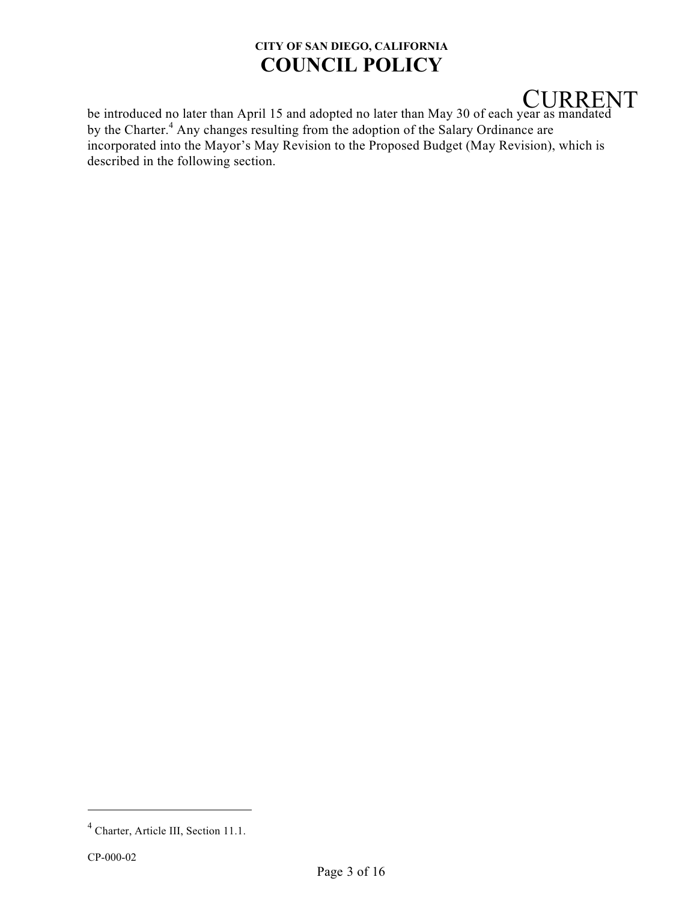## CURRENT

be introduced no later than April 15 and adopted no later than May 30 of each year as mandated by the Charter.<sup>4</sup> Any changes resulting from the adoption of the Salary Ordinance are incorporated into the Mayor's May Revision to the Proposed Budget (May Revision), which is described in the following section.

<sup>&</sup>lt;sup>4</sup> Charter, Article III, Section 11.1.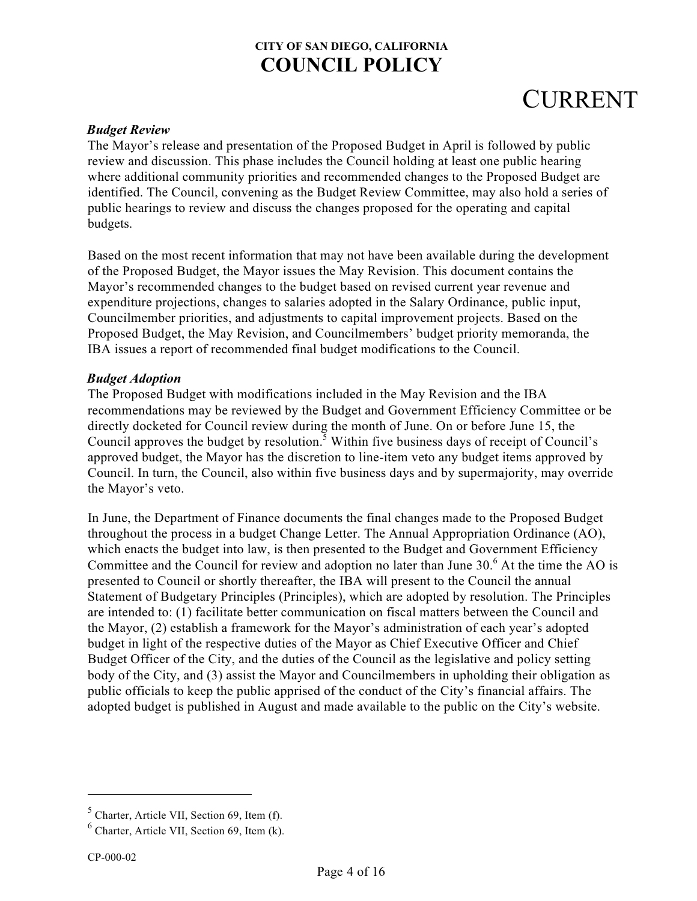# CURRENT

#### *Budget Review*

The Mayor's release and presentation of the Proposed Budget in April is followed by public review and discussion. This phase includes the Council holding at least one public hearing where additional community priorities and recommended changes to the Proposed Budget are identified. The Council, convening as the Budget Review Committee, may also hold a series of public hearings to review and discuss the changes proposed for the operating and capital budgets.

Based on the most recent information that may not have been available during the development of the Proposed Budget, the Mayor issues the May Revision. This document contains the Mayor's recommended changes to the budget based on revised current year revenue and expenditure projections, changes to salaries adopted in the Salary Ordinance, public input, Councilmember priorities, and adjustments to capital improvement projects. Based on the Proposed Budget, the May Revision, and Councilmembers' budget priority memoranda, the IBA issues a report of recommended final budget modifications to the Council.

#### *Budget Adoption*

The Proposed Budget with modifications included in the May Revision and the IBA recommendations may be reviewed by the Budget and Government Efficiency Committee or be directly docketed for Council review during the month of June. On or before June 15, the Council approves the budget by resolution. <sup>5</sup> Within five business days of receipt of Council's approved budget, the Mayor has the discretion to line-item veto any budget items approved by Council. In turn, the Council, also within five business days and by supermajority, may override the Mayor's veto.

In June, the Department of Finance documents the final changes made to the Proposed Budget throughout the process in a budget Change Letter. The Annual Appropriation Ordinance (AO), which enacts the budget into law, is then presented to the Budget and Government Efficiency Committee and the Council for review and adoption no later than June 30. <sup>6</sup> At the time the AO is presented to Council or shortly thereafter, the IBA will present to the Council the annual Statement of Budgetary Principles (Principles), which are adopted by resolution. The Principles are intended to: (1) facilitate better communication on fiscal matters between the Council and the Mayor, (2) establish a framework for the Mayor's administration of each year's adopted budget in light of the respective duties of the Mayor as Chief Executive Officer and Chief Budget Officer of the City, and the duties of the Council as the legislative and policy setting body of the City, and (3) assist the Mayor and Councilmembers in upholding their obligation as public officials to keep the public apprised of the conduct of the City's financial affairs. The adopted budget is published in August and made available to the public on the City's website.

<sup>&</sup>lt;sup>5</sup> Charter, Article VII, Section 69, Item (f).

<sup>&</sup>lt;sup>6</sup> Charter, Article VII, Section 69, Item (k).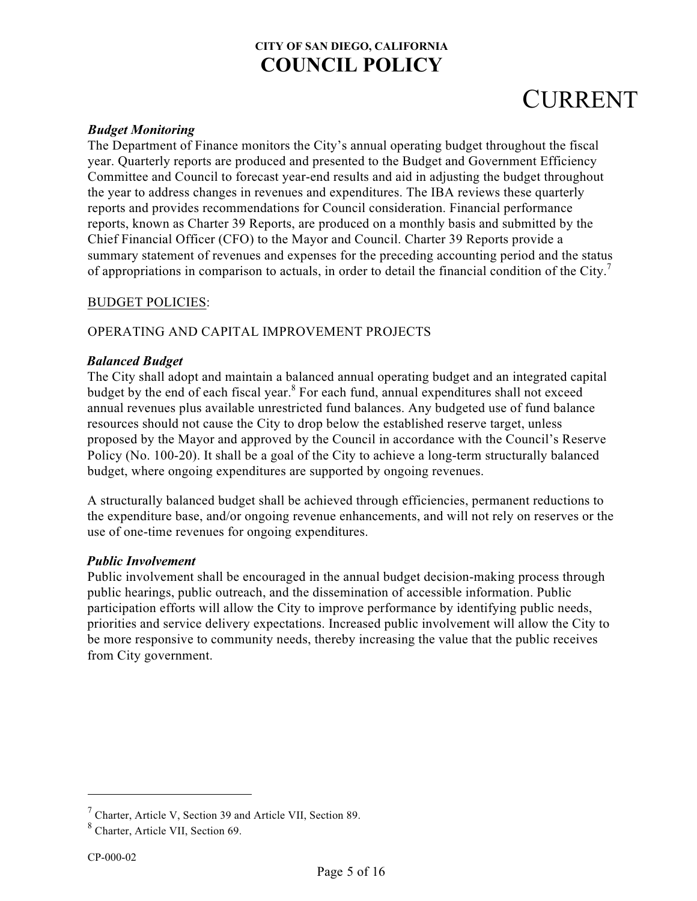# CURRENT

## *Budget Monitoring*

The Department of Finance monitors the City's annual operating budget throughout the fiscal year. Quarterly reports are produced and presented to the Budget and Government Efficiency Committee and Council to forecast year-end results and aid in adjusting the budget throughout the year to address changes in revenues and expenditures. The IBA reviews these quarterly reports and provides recommendations for Council consideration. Financial performance reports, known as Charter 39 Reports, are produced on a monthly basis and submitted by the Chief Financial Officer (CFO) to the Mayor and Council. Charter 39 Reports provide a summary statement of revenues and expenses for the preceding accounting period and the status of appropriations in comparison to actuals, in order to detail the financial condition of the City.<sup>7</sup>

## BUDGET POLICIES:

## OPERATING AND CAPITAL IMPROVEMENT PROJECTS

#### *Balanced Budget*

The City shall adopt and maintain a balanced annual operating budget and an integrated capital budget by the end of each fiscal year.<sup>8</sup> For each fund, annual expenditures shall not exceed annual revenues plus available unrestricted fund balances. Any budgeted use of fund balance resources should not cause the City to drop below the established reserve target, unless proposed by the Mayor and approved by the Council in accordance with the Council's Reserve Policy (No. 100-20). It shall be a goal of the City to achieve a long-term structurally balanced budget, where ongoing expenditures are supported by ongoing revenues.

A structurally balanced budget shall be achieved through efficiencies, permanent reductions to the expenditure base, and/or ongoing revenue enhancements, and will not rely on reserves or the use of one-time revenues for ongoing expenditures.

#### *Public Involvement*

Public involvement shall be encouraged in the annual budget decision-making process through public hearings, public outreach, and the dissemination of accessible information. Public participation efforts will allow the City to improve performance by identifying public needs, priorities and service delivery expectations. Increased public involvement will allow the City to be more responsive to community needs, thereby increasing the value that the public receives from City government.

<sup>&</sup>lt;sup>7</sup> Charter, Article V, Section 39 and Article VII, Section 89.

<sup>&</sup>lt;sup>8</sup> Charter, Article VII, Section 69.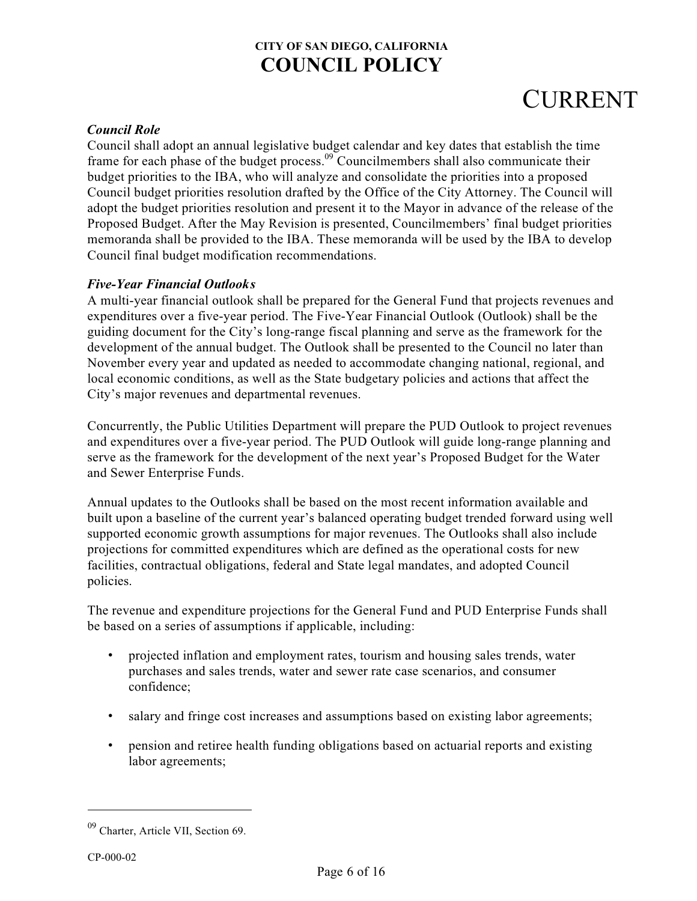# CURRENT

## *Council Role*

Council shall adopt an annual legislative budget calendar and key dates that establish the time frame for each phase of the budget process.<sup>09</sup> Councilmembers shall also communicate their budget priorities to the IBA, who will analyze and consolidate the priorities into a proposed Council budget priorities resolution drafted by the Office of the City Attorney. The Council will adopt the budget priorities resolution and present it to the Mayor in advance of the release of the Proposed Budget. After the May Revision is presented, Councilmembers' final budget priorities memoranda shall be provided to the IBA. These memoranda will be used by the IBA to develop Council final budget modification recommendations.

#### *Five-Year Financial Outlooks*

A multi-year financial outlook shall be prepared for the General Fund that projects revenues and expenditures over a five-year period. The Five-Year Financial Outlook (Outlook) shall be the guiding document for the City's long-range fiscal planning and serve as the framework for the development of the annual budget. The Outlook shall be presented to the Council no later than November every year and updated as needed to accommodate changing national, regional, and local economic conditions, as well as the State budgetary policies and actions that affect the City's major revenues and departmental revenues.

Concurrently, the Public Utilities Department will prepare the PUD Outlook to project revenues and expenditures over a five-year period. The PUD Outlook will guide long-range planning and serve as the framework for the development of the next year's Proposed Budget for the Water and Sewer Enterprise Funds.

Annual updates to the Outlooks shall be based on the most recent information available and built upon a baseline of the current year's balanced operating budget trended forward using well supported economic growth assumptions for major revenues. The Outlooks shall also include projections for committed expenditures which are defined as the operational costs for new facilities, contractual obligations, federal and State legal mandates, and adopted Council policies.

The revenue and expenditure projections for the General Fund and PUD Enterprise Funds shall be based on a series of assumptions if applicable, including:

- projected inflation and employment rates, tourism and housing sales trends, water purchases and sales trends, water and sewer rate case scenarios, and consumer confidence;
- salary and fringe cost increases and assumptions based on existing labor agreements;
- pension and retiree health funding obligations based on actuarial reports and existing labor agreements;

<sup>&</sup>lt;sup>09</sup> Charter, Article VII, Section 69.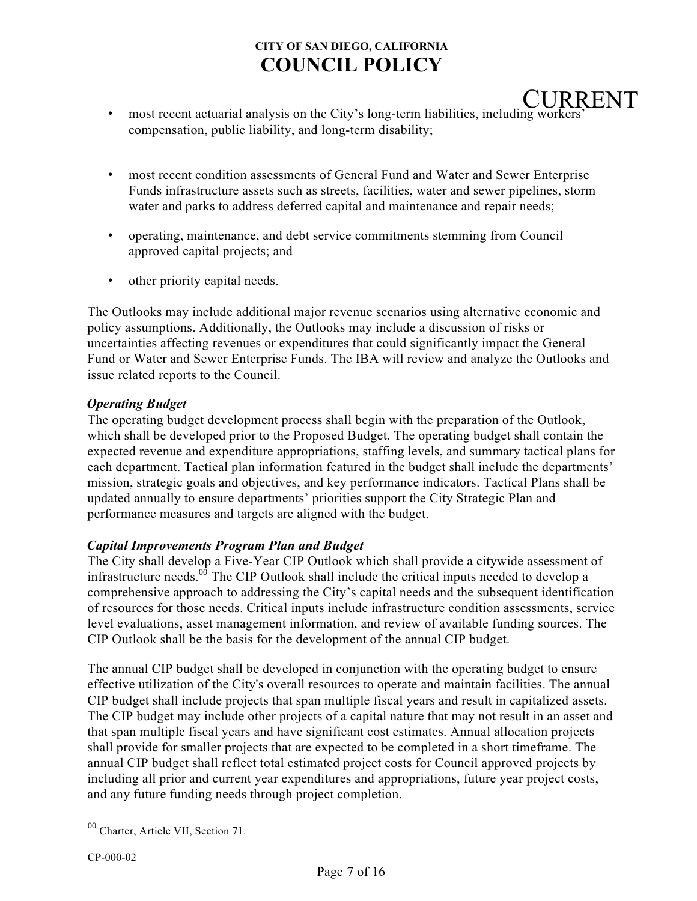CURRENT

- most recent actuarial analysis on the City's long-term liabilities, including workers' compensation, public liability, and long-term disability;
- most recent condition assessments of General Fund and Water and Sewer Enterprise Funds infrastructure assets such as streets, facilities, water and sewer pipelines, storm water and parks to address deferred capital and maintenance and repair needs;
- operating, maintenance, and debt service commitments stemming from Council approved capital projects; and
- other priority capital needs.

The Outlooks may include additional major revenue scenarios using alternative economic and policy assumptions. Additionally, the Outlooks may include a discussion of risks or uncertainties affecting revenues or expenditures that could significantly impact the General Fund or Water and Sewer Enterprise Funds. The IBA will review and analyze the Outlooks and issue related reports to the Council.

## *Operating Budget*

The operating budget development process shall begin with the preparation of the Outlook, which shall be developed prior to the Proposed Budget. The operating budget shall contain the expected revenue and expenditure appropriations, staffing levels, and summary tactical plans for each department. Tactical plan information featured in the budget shall include the departments' mission, strategic goals and objectives, and key performance indicators. Tactical Plans shall be updated annually to ensure departments' priorities support the City Strategic Plan and performance measures and targets are aligned with the budget.

## *Capital Improvements Program Plan and Budget*

The City shall develop a Five-Year CIP Outlook which shall provide a citywide assessment of infrastructure needs.<sup>00</sup> The CIP Outlook shall include the critical inputs needed to develop a comprehensive approach to addressing the City's capital needs and the subsequent identification of resources for those needs. Critical inputs include infrastructure condition assessments, service level evaluations, asset management information, and review of available funding sources. The CIP Outlook shall be the basis for the development of the annual CIP budget.

The annual CIP budget shall be developed in conjunction with the operating budget to ensure effective utilization of the City's overall resources to operate and maintain facilities. The annual CIP budget shall include projects that span multiple fiscal years and result in capitalized assets. The CIP budget may include other projects of a capital nature that may not result in an asset and that span multiple fiscal years and have significant cost estimates. Annual allocation projects shall provide for smaller projects that are expected to be completed in a short timeframe. The annual CIP budget shall reflect total estimated project costs for Council approved projects by including all prior and current year expenditures and appropriations, future year project costs, and any future funding needs through project completion.

<sup>00</sup> Charter, Article VII, Section 71.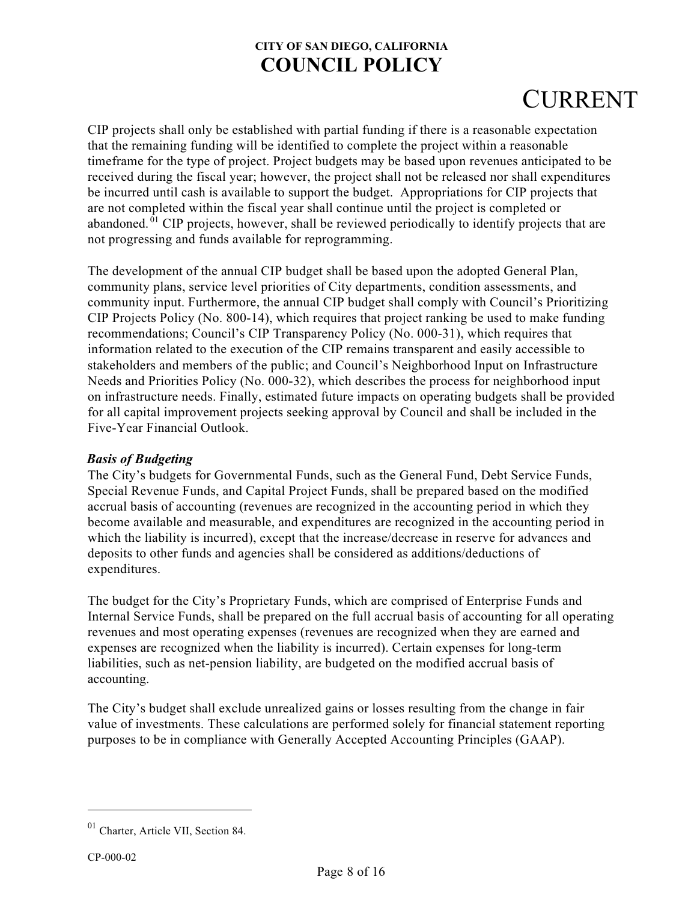# CURRENT

CIP projects shall only be established with partial funding if there is a reasonable expectation that the remaining funding will be identified to complete the project within a reasonable timeframe for the type of project. Project budgets may be based upon revenues anticipated to be received during the fiscal year; however, the project shall not be released nor shall expenditures be incurred until cash is available to support the budget. Appropriations for CIP projects that are not completed within the fiscal year shall continue until the project is completed or abandoned.  $01$  CIP projects, however, shall be reviewed periodically to identify projects that are not progressing and funds available for reprogramming.

The development of the annual CIP budget shall be based upon the adopted General Plan, community plans, service level priorities of City departments, condition assessments, and community input. Furthermore, the annual CIP budget shall comply with Council's Prioritizing CIP Projects Policy (No. 800-14), which requires that project ranking be used to make funding recommendations; Council's CIP Transparency Policy (No. 000-31), which requires that information related to the execution of the CIP remains transparent and easily accessible to stakeholders and members of the public; and Council's Neighborhood Input on Infrastructure Needs and Priorities Policy (No. 000-32), which describes the process for neighborhood input on infrastructure needs. Finally, estimated future impacts on operating budgets shall be provided for all capital improvement projects seeking approval by Council and shall be included in the Five-Year Financial Outlook.

## *Basis of Budgeting*

The City's budgets for Governmental Funds, such as the General Fund, Debt Service Funds, Special Revenue Funds, and Capital Project Funds, shall be prepared based on the modified accrual basis of accounting (revenues are recognized in the accounting period in which they become available and measurable, and expenditures are recognized in the accounting period in which the liability is incurred), except that the increase/decrease in reserve for advances and deposits to other funds and agencies shall be considered as additions/deductions of expenditures.

The budget for the City's Proprietary Funds, which are comprised of Enterprise Funds and Internal Service Funds, shall be prepared on the full accrual basis of accounting for all operating revenues and most operating expenses (revenues are recognized when they are earned and expenses are recognized when the liability is incurred). Certain expenses for long-term liabilities, such as net-pension liability, are budgeted on the modified accrual basis of accounting.

The City's budget shall exclude unrealized gains or losses resulting from the change in fair value of investments. These calculations are performed solely for financial statement reporting purposes to be in compliance with Generally Accepted Accounting Principles (GAAP).

<sup>&</sup>lt;sup>01</sup> Charter, Article VII, Section 84.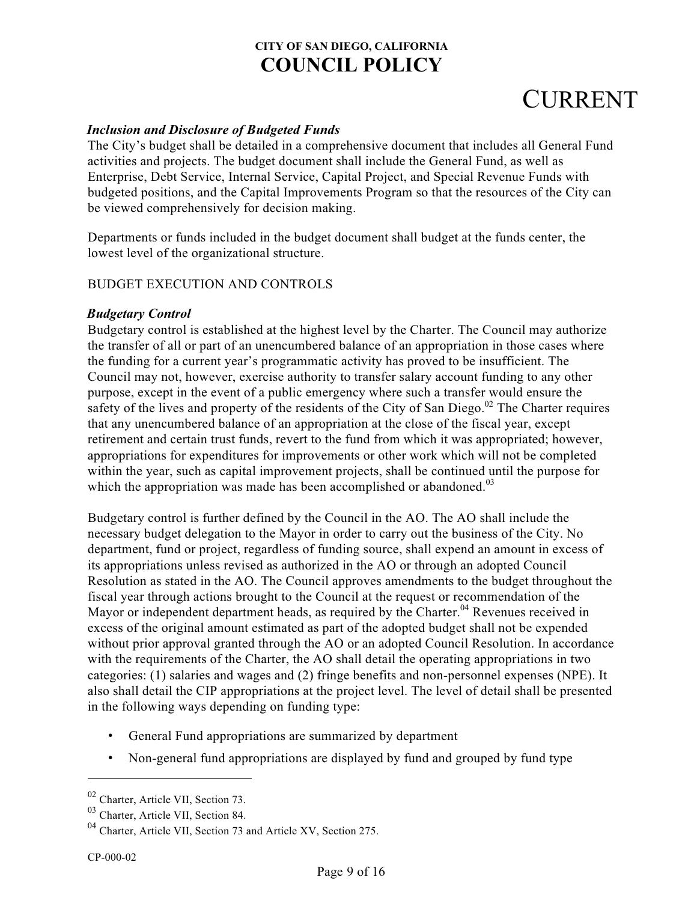## CURRENT

#### *Inclusion and Disclosure of Budgeted Funds*

The City's budget shall be detailed in a comprehensive document that includes all General Fund activities and projects. The budget document shall include the General Fund, as well as Enterprise, Debt Service, Internal Service, Capital Project, and Special Revenue Funds with budgeted positions, and the Capital Improvements Program so that the resources of the City can be viewed comprehensively for decision making.

Departments or funds included in the budget document shall budget at the funds center, the lowest level of the organizational structure.

## BUDGET EXECUTION AND CONTROLS

#### *Budgetary Control*

Budgetary control is established at the highest level by the Charter. The Council may authorize the transfer of all or part of an unencumbered balance of an appropriation in those cases where the funding for a current year's programmatic activity has proved to be insufficient. The Council may not, however, exercise authority to transfer salary account funding to any other purpose, except in the event of a public emergency where such a transfer would ensure the safety of the lives and property of the residents of the City of San Diego.<sup>02</sup> The Charter requires that any unencumbered balance of an appropriation at the close of the fiscal year, except retirement and certain trust funds, revert to the fund from which it was appropriated; however, appropriations for expenditures for improvements or other work which will not be completed within the year, such as capital improvement projects, shall be continued until the purpose for which the appropriation was made has been accomplished or abandoned.<sup>03</sup>

Budgetary control is further defined by the Council in the AO. The AO shall include the necessary budget delegation to the Mayor in order to carry out the business of the City. No department, fund or project, regardless of funding source, shall expend an amount in excess of its appropriations unless revised as authorized in the AO or through an adopted Council Resolution as stated in the AO. The Council approves amendments to the budget throughout the fiscal year through actions brought to the Council at the request or recommendation of the Mayor or independent department heads, as required by the Charter.<sup>04</sup> Revenues received in excess of the original amount estimated as part of the adopted budget shall not be expended without prior approval granted through the AO or an adopted Council Resolution. In accordance with the requirements of the Charter, the AO shall detail the operating appropriations in two categories: (1) salaries and wages and (2) fringe benefits and non-personnel expenses (NPE). It also shall detail the CIP appropriations at the project level. The level of detail shall be presented in the following ways depending on funding type:

- General Fund appropriations are summarized by department
- Non-general fund appropriations are displayed by fund and grouped by fund type

<sup>02</sup> Charter, Article VII, Section 73.

<sup>03</sup> Charter, Article VII, Section 84.

<sup>&</sup>lt;sup>04</sup> Charter, Article VII, Section 73 and Article XV, Section 275.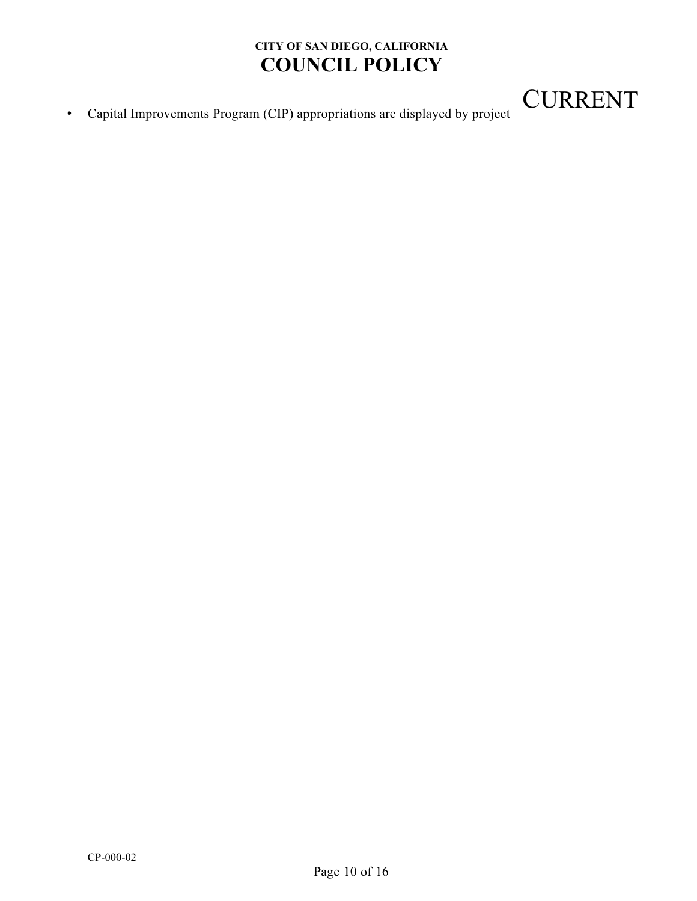## CURRENT

• Capital Improvements Program (CIP) appropriations are displayed by project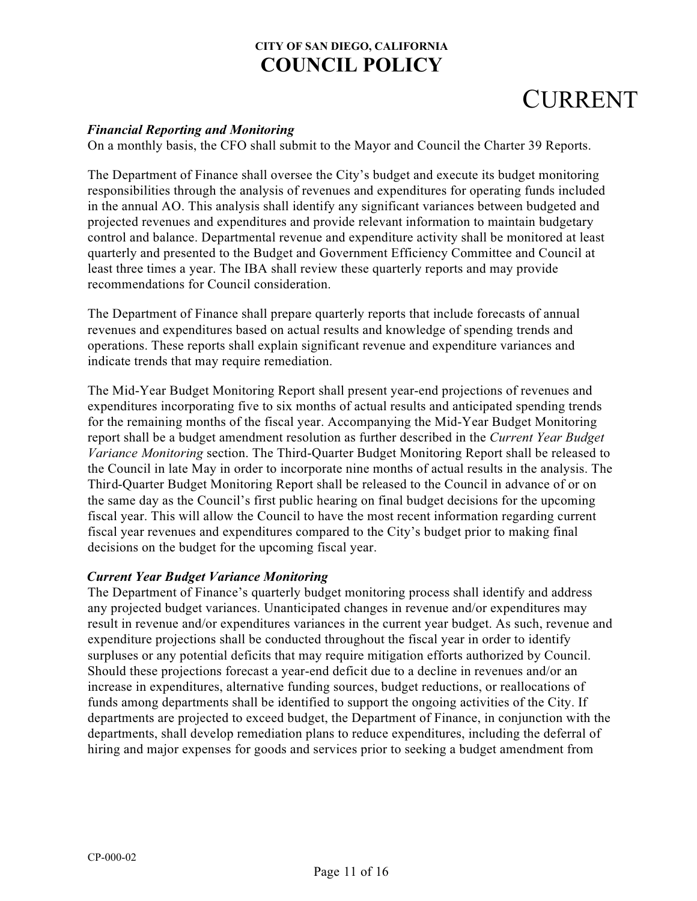## **CURRENT**

#### *Financial Reporting and Monitoring*

On a monthly basis, the CFO shall submit to the Mayor and Council the Charter 39 Reports.

The Department of Finance shall oversee the City's budget and execute its budget monitoring responsibilities through the analysis of revenues and expenditures for operating funds included in the annual AO. This analysis shall identify any significant variances between budgeted and projected revenues and expenditures and provide relevant information to maintain budgetary control and balance. Departmental revenue and expenditure activity shall be monitored at least quarterly and presented to the Budget and Government Efficiency Committee and Council at least three times a year. The IBA shall review these quarterly reports and may provide recommendations for Council consideration.

The Department of Finance shall prepare quarterly reports that include forecasts of annual revenues and expenditures based on actual results and knowledge of spending trends and operations. These reports shall explain significant revenue and expenditure variances and indicate trends that may require remediation.

The Mid-Year Budget Monitoring Report shall present year-end projections of revenues and expenditures incorporating five to six months of actual results and anticipated spending trends for the remaining months of the fiscal year. Accompanying the Mid-Year Budget Monitoring report shall be a budget amendment resolution as further described in the *Current Year Budget Variance Monitoring* section. The Third-Quarter Budget Monitoring Report shall be released to the Council in late May in order to incorporate nine months of actual results in the analysis. The Third-Quarter Budget Monitoring Report shall be released to the Council in advance of or on the same day as the Council's first public hearing on final budget decisions for the upcoming fiscal year. This will allow the Council to have the most recent information regarding current fiscal year revenues and expenditures compared to the City's budget prior to making final decisions on the budget for the upcoming fiscal year.

## *Current Year Budget Variance Monitoring*

The Department of Finance's quarterly budget monitoring process shall identify and address any projected budget variances. Unanticipated changes in revenue and/or expenditures may result in revenue and/or expenditures variances in the current year budget. As such, revenue and expenditure projections shall be conducted throughout the fiscal year in order to identify surpluses or any potential deficits that may require mitigation efforts authorized by Council. Should these projections forecast a year-end deficit due to a decline in revenues and/or an increase in expenditures, alternative funding sources, budget reductions, or reallocations of funds among departments shall be identified to support the ongoing activities of the City. If departments are projected to exceed budget, the Department of Finance, in conjunction with the departments, shall develop remediation plans to reduce expenditures, including the deferral of hiring and major expenses for goods and services prior to seeking a budget amendment from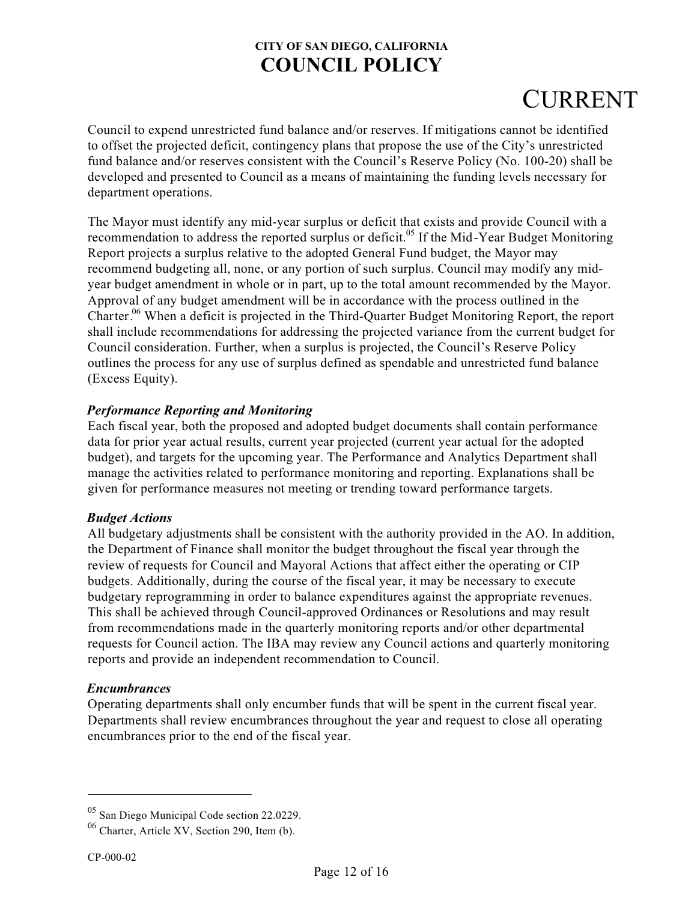# CURRENT

Council to expend unrestricted fund balance and/or reserves. If mitigations cannot be identified to offset the projected deficit, contingency plans that propose the use of the City's unrestricted fund balance and/or reserves consistent with the Council's Reserve Policy (No. 100-20) shall be developed and presented to Council as a means of maintaining the funding levels necessary for department operations.

The Mayor must identify any mid-year surplus or deficit that exists and provide Council with a recommendation to address the reported surplus or deficit.<sup>05</sup> If the Mid-Year Budget Monitoring Report projects a surplus relative to the adopted General Fund budget, the Mayor may recommend budgeting all, none, or any portion of such surplus. Council may modify any midyear budget amendment in whole or in part, up to the total amount recommended by the Mayor. Approval of any budget amendment will be in accordance with the process outlined in the Charter.<sup>06</sup> When a deficit is projected in the Third-Quarter Budget Monitoring Report, the report shall include recommendations for addressing the projected variance from the current budget for Council consideration. Further, when a surplus is projected, the Council's Reserve Policy outlines the process for any use of surplus defined as spendable and unrestricted fund balance (Excess Equity).

## *Performance Reporting and Monitoring*

Each fiscal year, both the proposed and adopted budget documents shall contain performance data for prior year actual results, current year projected (current year actual for the adopted budget), and targets for the upcoming year. The Performance and Analytics Department shall manage the activities related to performance monitoring and reporting. Explanations shall be given for performance measures not meeting or trending toward performance targets.

## *Budget Actions*

All budgetary adjustments shall be consistent with the authority provided in the AO. In addition, the Department of Finance shall monitor the budget throughout the fiscal year through the review of requests for Council and Mayoral Actions that affect either the operating or CIP budgets. Additionally, during the course of the fiscal year, it may be necessary to execute budgetary reprogramming in order to balance expenditures against the appropriate revenues. This shall be achieved through Council-approved Ordinances or Resolutions and may result from recommendations made in the quarterly monitoring reports and/or other departmental requests for Council action. The IBA may review any Council actions and quarterly monitoring reports and provide an independent recommendation to Council.

## *Encumbrances*

Operating departments shall only encumber funds that will be spent in the current fiscal year. Departments shall review encumbrances throughout the year and request to close all operating encumbrances prior to the end of the fiscal year.

<sup>05</sup> San Diego Municipal Code section 22.0229.

<sup>06</sup> Charter, Article XV, Section 290, Item (b).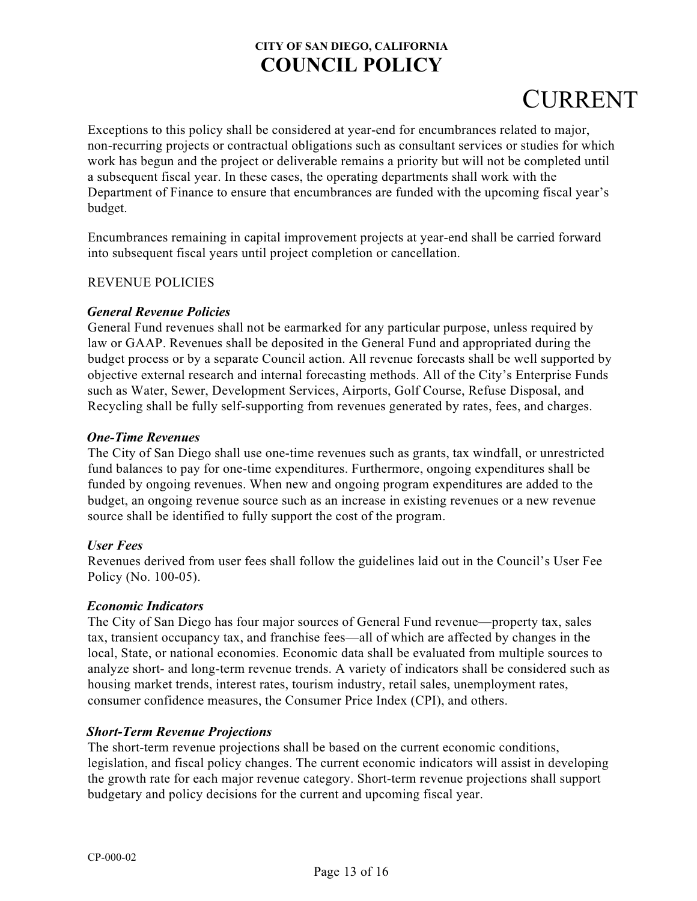# CURRENT

Exceptions to this policy shall be considered at year-end for encumbrances related to major, non-recurring projects or contractual obligations such as consultant services or studies for which work has begun and the project or deliverable remains a priority but will not be completed until a subsequent fiscal year. In these cases, the operating departments shall work with the Department of Finance to ensure that encumbrances are funded with the upcoming fiscal year's budget.

Encumbrances remaining in capital improvement projects at year-end shall be carried forward into subsequent fiscal years until project completion or cancellation.

## REVENUE POLICIES

## *General Revenue Policies*

General Fund revenues shall not be earmarked for any particular purpose, unless required by law or GAAP. Revenues shall be deposited in the General Fund and appropriated during the budget process or by a separate Council action. All revenue forecasts shall be well supported by objective external research and internal forecasting methods. All of the City's Enterprise Funds such as Water, Sewer, Development Services, Airports, Golf Course, Refuse Disposal, and Recycling shall be fully self-supporting from revenues generated by rates, fees, and charges.

## *One-Time Revenues*

The City of San Diego shall use one-time revenues such as grants, tax windfall, or unrestricted fund balances to pay for one-time expenditures. Furthermore, ongoing expenditures shall be funded by ongoing revenues. When new and ongoing program expenditures are added to the budget, an ongoing revenue source such as an increase in existing revenues or a new revenue source shall be identified to fully support the cost of the program.

## *User Fees*

Revenues derived from user fees shall follow the guidelines laid out in the Council's User Fee Policy (No. 100-05).

## *Economic Indicators*

The City of San Diego has four major sources of General Fund revenue—property tax, sales tax, transient occupancy tax, and franchise fees—all of which are affected by changes in the local, State, or national economies. Economic data shall be evaluated from multiple sources to analyze short- and long-term revenue trends. A variety of indicators shall be considered such as housing market trends, interest rates, tourism industry, retail sales, unemployment rates, consumer confidence measures, the Consumer Price Index (CPI), and others.

## *Short-Term Revenue Projections*

The short-term revenue projections shall be based on the current economic conditions, legislation, and fiscal policy changes. The current economic indicators will assist in developing the growth rate for each major revenue category. Short-term revenue projections shall support budgetary and policy decisions for the current and upcoming fiscal year.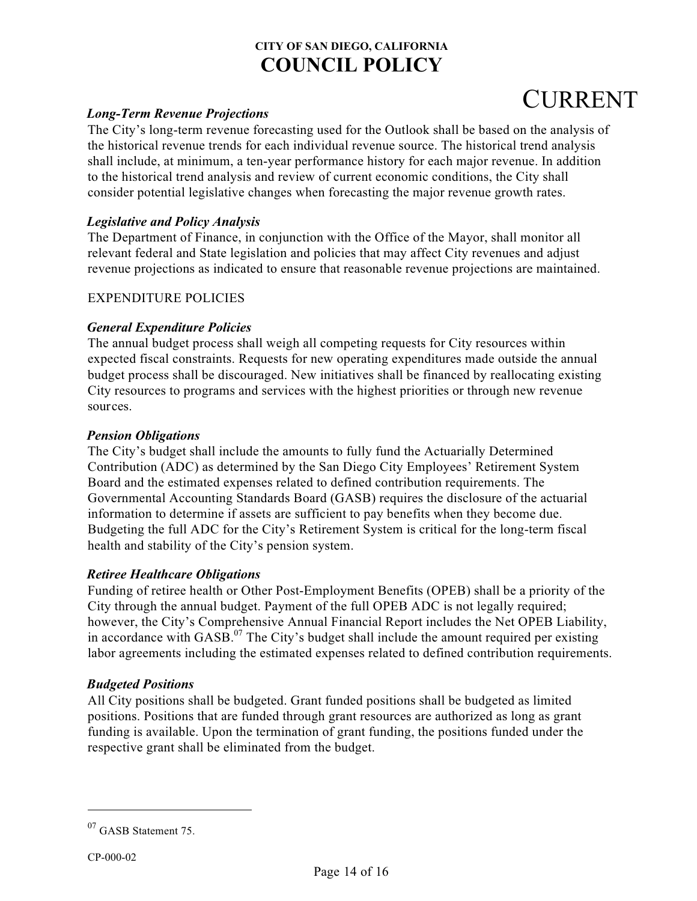# CURRENT

## *Long-Term Revenue Projections*

The City's long-term revenue forecasting used for the Outlook shall be based on the analysis of the historical revenue trends for each individual revenue source. The historical trend analysis shall include, at minimum, a ten-year performance history for each major revenue. In addition to the historical trend analysis and review of current economic conditions, the City shall consider potential legislative changes when forecasting the major revenue growth rates.

## *Legislative and Policy Analysis*

The Department of Finance, in conjunction with the Office of the Mayor, shall monitor all relevant federal and State legislation and policies that may affect City revenues and adjust revenue projections as indicated to ensure that reasonable revenue projections are maintained.

## EXPENDITURE POLICIES

## *General Expenditure Policies*

The annual budget process shall weigh all competing requests for City resources within expected fiscal constraints. Requests for new operating expenditures made outside the annual budget process shall be discouraged. New initiatives shall be financed by reallocating existing City resources to programs and services with the highest priorities or through new revenue sources.

## *Pension Obligations*

The City's budget shall include the amounts to fully fund the Actuarially Determined Contribution (ADC) as determined by the San Diego City Employees' Retirement System Board and the estimated expenses related to defined contribution requirements. The Governmental Accounting Standards Board (GASB) requires the disclosure of the actuarial information to determine if assets are sufficient to pay benefits when they become due. Budgeting the full ADC for the City's Retirement System is critical for the long-term fiscal health and stability of the City's pension system.

## *Retiree Healthcare Obligations*

Funding of retiree health or Other Post-Employment Benefits (OPEB) shall be a priority of the City through the annual budget. Payment of the full OPEB ADC is not legally required; however, the City's Comprehensive Annual Financial Report includes the Net OPEB Liability, in accordance with GASB.<sup>07</sup> The City's budget shall include the amount required per existing labor agreements including the estimated expenses related to defined contribution requirements.

## *Budgeted Positions*

All City positions shall be budgeted. Grant funded positions shall be budgeted as limited positions. Positions that are funded through grant resources are authorized as long as grant funding is available. Upon the termination of grant funding, the positions funded under the respective grant shall be eliminated from the budget.

<sup>&</sup>lt;sup>07</sup> GASB Statement 75.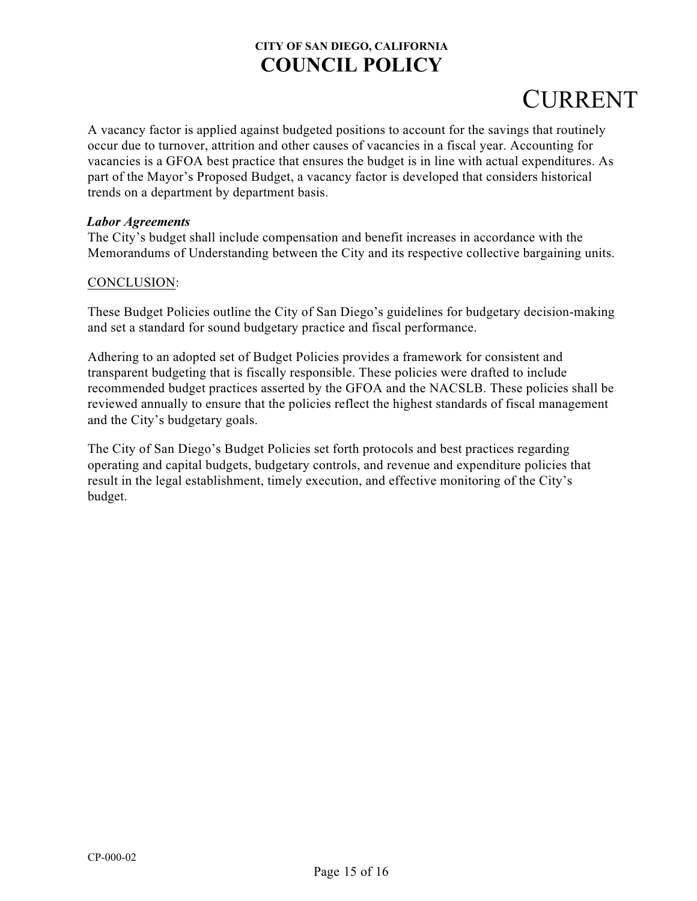## CURRENT

A vacancy factor is applied against budgeted positions to account for the savings that routinely occur due to turnover, attrition and other causes of vacancies in a fiscal year. Accounting for vacancies is a GFOA best practice that ensures the budget is in line with actual expenditures. As part of the Mayor's Proposed Budget, a vacancy factor is developed that considers historical trends on a department by department basis.

## *Labor Agreements*

The City's budget shall include compensation and benefit increases in accordance with the Memorandums of Understanding between the City and its respective collective bargaining units.

## CONCLUSION:

These Budget Policies outline the City of San Diego's guidelines for budgetary decision-making and set a standard for sound budgetary practice and fiscal performance.

Adhering to an adopted set of Budget Policies provides a framework for consistent and transparent budgeting that is fiscally responsible. These policies were drafted to include recommended budget practices asserted by the GFOA and the NACSLB. These policies shall be reviewed annually to ensure that the policies reflect the highest standards of fiscal management and the City's budgetary goals.

The City of San Diego's Budget Policies set forth protocols and best practices regarding operating and capital budgets, budgetary controls, and revenue and expenditure policies that result in the legal establishment, timely execution, and effective monitoring of the City's budget.